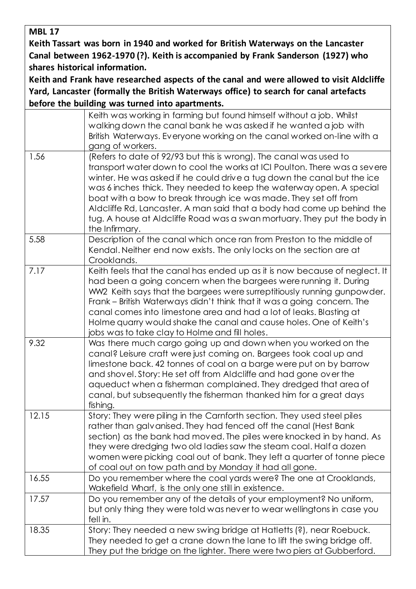**MBL 17**

**Keith Tassart was born in 1940 and worked for British Waterways on the Lancaster Canal between 1962-1970 (?). Keith is accompanied by Frank Sanderson (1927) who shares historical information.** 

**Keith and Frank have researched aspects of the canal and were allowed to visit Aldcliffe Yard, Lancaster (formally the British Waterways office) to search for canal artefacts before the building was turned into apartments.** 

|       | Keith was working in farming but found himself without a job. Whilst<br>walking down the canal bank he was asked if he wanted a job with<br>British Waterways. Everyone working on the canal worked on-line with a<br>gang of workers.                                                                                                                                                                                                                                                                                                         |
|-------|------------------------------------------------------------------------------------------------------------------------------------------------------------------------------------------------------------------------------------------------------------------------------------------------------------------------------------------------------------------------------------------------------------------------------------------------------------------------------------------------------------------------------------------------|
| 1.56  | (Refers to date of 92/93 but this is wrong). The canal was used to<br>transport water down to cool the works at ICI Poulton. There was a severe<br>winter. He was asked if he could drive a tug down the canal but the ice<br>was 6 inches thick. They needed to keep the waterway open. A special<br>boat with a bow to break through ice was made. They set off from<br>Aldcliffe Rd, Lancaster. A man said that a body had come up behind the<br>tug. A house at Aldcliffe Road was a swan mortuary. They put the body in<br>the Infirmary. |
| 5.58  | Description of the canal which once ran from Preston to the middle of<br>Kendal. Neither end now exists. The only locks on the section are at<br>Crooklands.                                                                                                                                                                                                                                                                                                                                                                                   |
| 7.17  | Keith feels that the canal has ended up as it is now because of neglect. It<br>had been a going concern when the bargees were running it. During<br>WW2 Keith says that the bargees were surreptitiously running gunpowder.<br>Frank - British Waterways didn't think that it was a going concern. The<br>canal comes into limestone area and had a lot of leaks. Blasting at<br>Holme quarry would shake the canal and cause holes. One of Keith's<br>jobs was to take clay to Holme and fill holes.                                          |
| 9.32  | Was there much cargo going up and down when you worked on the<br>canal? Leisure craft were just coming on. Bargees took coal up and<br>limestone back. 42 tonnes of coal on a barge were put on by barrow<br>and shovel. Story: He set off from Aldcliffe and had gone over the<br>aqueduct when a fisherman complained. They dredged that area of<br>canal, but subsequently the fisherman thanked him for a great days<br>fishing.                                                                                                           |
| 12.15 | Story: They were piling in the Carnforth section. They used steel piles<br>rather than galvanised. They had fenced off the canal (Hest Bank<br>section) as the bank had moved. The piles were knocked in by hand. As<br>they were dredging two old ladies saw the steam coal. Half a dozen<br>women were picking coal out of bank. They left a quarter of tonne piece<br>of coal out on tow path and by Monday it had all gone.                                                                                                                |
| 16.55 | Do you remember where the coal yards were? The one at Crooklands,<br>Wakefield Wharf, is the only one still in existence.                                                                                                                                                                                                                                                                                                                                                                                                                      |
| 17.57 | Do you remember any of the details of your employment? No uniform,<br>but only thing they were told was never to wear wellingtons in case you<br>fell in.                                                                                                                                                                                                                                                                                                                                                                                      |
| 18.35 | Story: They needed a new swing bridge at Hatletts (?), near Roebuck.<br>They needed to get a crane down the lane to lift the swing bridge off.<br>They put the bridge on the lighter. There were two piers at Gubberford.                                                                                                                                                                                                                                                                                                                      |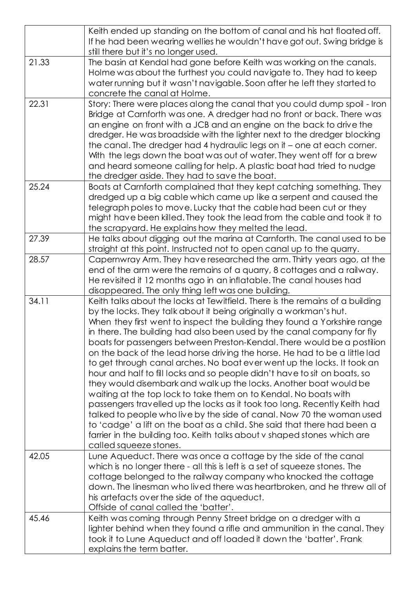|       | Keith ended up standing on the bottom of canal and his hat floated off.                                                               |
|-------|---------------------------------------------------------------------------------------------------------------------------------------|
|       | If he had been wearing wellies he wouldn't have got out. Swing bridge is                                                              |
|       | still there but it's no longer used.                                                                                                  |
| 21.33 | The basin at Kendal had gone before Keith was working on the canals.                                                                  |
|       | Holme was about the furthest you could navigate to. They had to keep                                                                  |
|       | water running but it wasn't navigable. Soon after he left they started to                                                             |
|       | concrete the canal at Holme.                                                                                                          |
| 22.31 | Story: There were places along the canal that you could dump spoil - Iron                                                             |
|       | Bridge at Carnforth was one. A dredger had no front or back. There was                                                                |
|       | an engine on front with a JCB and an engine on the back to drive the                                                                  |
|       | dredger. He was broadside with the lighter next to the dredger blocking                                                               |
|       | the canal. The dredger had 4 hydraulic legs on it - one at each corner.                                                               |
|       | With the legs down the boat was out of water. They went off for a brew                                                                |
|       | and heard someone calling for help. A plastic boat had tried to nudge                                                                 |
| 25.24 | the dredger aside. They had to save the boat.<br>Boats at Carnforth complained that they kept catching something. They                |
|       | dredged up a big cable which came up like a serpent and caused the                                                                    |
|       | telegraph poles to move. Lucky that the cable had been cut or they                                                                    |
|       | might have been killed. They took the lead from the cable and took it to                                                              |
|       | the scrapyard. He explains how they melted the lead.                                                                                  |
| 27.39 | He talks about digging out the marina at Carnforth. The canal used to be                                                              |
|       | straight at this point. Instructed not to open canal up to the quarry.                                                                |
| 28.57 | Capernwray Arm. They have researched the arm. Thirty years ago, at the                                                                |
|       | end of the arm were the remains of a quarry, 8 cottages and a railway.                                                                |
|       | He revisited it 12 months ago in an inflatable. The canal houses had                                                                  |
|       | disappeared. The only thing left was one building.                                                                                    |
| 34.11 | Keith talks about the locks at Tewitfield. There is the remains of a building                                                         |
|       | by the locks. They talk about it being originally a workman's hut.                                                                    |
|       | When they first went to inspect the building they found a Yorkshire range                                                             |
|       | in there. The building had also been used by the canal company for fly                                                                |
|       | boats for passengers between Preston-Kendal. There would be a postilion                                                               |
|       | on the back of the lead horse driving the horse. He had to be a little lad                                                            |
|       | to get through canal arches. No boat ever went up the locks. It took an                                                               |
|       | hour and half to fill locks and so people didn't have to sit on boats, so                                                             |
|       | they would disembark and walk up the locks. Another boat would be<br>waiting at the top lock to take them on to Kendal. No boats with |
|       | passengers travelled up the locks as it took too long. Recently Keith had                                                             |
|       | talked to people who live by the side of canal. Now 70 the woman used                                                                 |
|       | to 'cadge' a lift on the boat as a child. She said that there had been a                                                              |
|       | farrier in the building too. Keith talks about v shaped stones which are                                                              |
|       | called squeeze stones.                                                                                                                |
| 42.05 | Lune Aqueduct. There was once a cottage by the side of the canal                                                                      |
|       | which is no longer there - all this is left is a set of squeeze stones. The                                                           |
|       | cottage belonged to the railway company who knocked the cottage                                                                       |
|       | down. The linesman who lived there was heartbroken, and he threw all of                                                               |
|       | his artefacts over the side of the aqueduct.                                                                                          |
|       | Offside of canal called the 'batter'.                                                                                                 |
| 45.46 | Keith was coming through Penny Street bridge on a dredger with a                                                                      |
|       | lighter behind when they found a rifle and ammunition in the canal. They                                                              |
|       | took it to Lune Aqueduct and off loaded it down the 'batter'. Frank                                                                   |
|       | explains the term batter.                                                                                                             |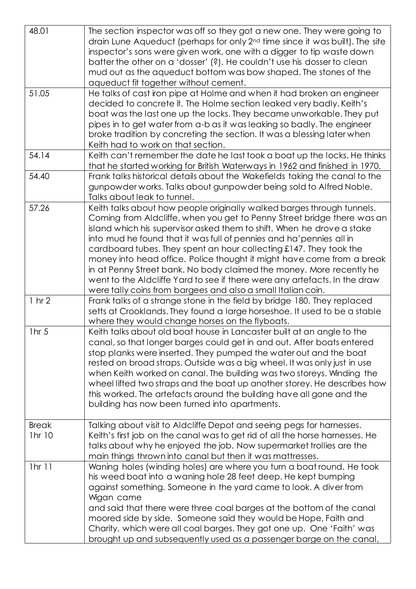| 48.01                  | The section inspector was off so they got a new one. They were going to<br>drain Lune Aqueduct (perhaps for only 2 <sup>nd</sup> time since it was built). The site<br>inspector's sons were given work, one with a digger to tip waste down<br>batter the other on a 'dosser' (?). He couldn't use his dosser to clean<br>mud out as the aqueduct bottom was bow shaped. The stones of the<br>aqueduct fit together without cement.                                                                                                                                                                                                                                      |
|------------------------|---------------------------------------------------------------------------------------------------------------------------------------------------------------------------------------------------------------------------------------------------------------------------------------------------------------------------------------------------------------------------------------------------------------------------------------------------------------------------------------------------------------------------------------------------------------------------------------------------------------------------------------------------------------------------|
| 51.05                  | He talks of cast iron pipe at Holme and when it had broken an engineer<br>decided to concrete it. The Holme section leaked very badly. Keith's<br>boat was the last one up the locks. They became unworkable. They put<br>pipes in to get water from a-b as it was leaking so badly. The engineer<br>broke tradition by concreting the section. It was a blessing later when<br>Keith had to work on that section.                                                                                                                                                                                                                                                        |
| 54.14                  | Keith can't remember the date he last took a boat up the locks. He thinks<br>that he started working for British Waterways in 1962 and finished in 1970.                                                                                                                                                                                                                                                                                                                                                                                                                                                                                                                  |
| 54.40                  | Frank talks historical details about the Wakefields taking the canal to the<br>gunpowder works. Talks about gunpowder being sold to Alfred Noble.<br>Talks about leak to tunnel.                                                                                                                                                                                                                                                                                                                                                                                                                                                                                          |
| 57.26                  | Keith talks about how people originally walked barges through tunnels.<br>Coming from Aldcliffe, when you get to Penny Street bridge there was an<br>island which his supervisor asked them to shift. When he drove a stake<br>into mud he found that it was full of pennies and ha' pennies all in<br>cardboard tubes. They spent an hour collecting £147. They took the<br>money into head office. Police thought it might have come from a break<br>in at Penny Street bank. No body claimed the money. More recently he<br>went to the Aldcliffe Yard to see if there were any artefacts. In the draw<br>were tally coins from bargees and also a small Italian coin. |
| $1 \text{ hr} 2$       | Frank talks of a strange stone in the field by bridge 180. They replaced<br>setts at Crooklands. They found a large horseshoe. It used to be a stable<br>where they would change horses on the flyboats.                                                                                                                                                                                                                                                                                                                                                                                                                                                                  |
| 1hr <sub>5</sub>       | Keith talks about old boat house in Lancaster built at an angle to the<br>canal, so that longer barges could get in and out. After boats entered<br>stop planks were inserted. They pumped the water out and the boat<br>rested on broad straps. Outside was a big wheel. It was only just in use<br>when Keith worked on canal. The building was two storeys. Winding the<br>wheel lifted two straps and the boat up another storey. He describes how<br>this worked. The artefacts around the building have all gone and the<br>building has now been turned into apartments.                                                                                           |
| <b>Break</b><br>1hr 10 | Talking about visit to Aldcliffe Depot and seeing pegs for harnesses.<br>Keith's first job on the canal was to get rid of all the horse harnesses. He<br>talks about why he enjoyed the job. Now supermarket trollies are the<br>main things thrown into canal but then it was mattresses.                                                                                                                                                                                                                                                                                                                                                                                |
| 1hr 11                 | Waning holes (winding holes) are where you turn a boat round. He took<br>his weed boat into a waning hole 28 feet deep. He kept bumping<br>against something. Someone in the yard came to look. A diver from<br>Wigan came<br>and said that there were three coal barges at the bottom of the canal<br>moored side by side. Someone said they would be Hope, Faith and<br>Charity, which were all coal barges. They got one up. One 'Faith' was<br>brought up and subsequently used as a passenger barge on the canal,                                                                                                                                                    |